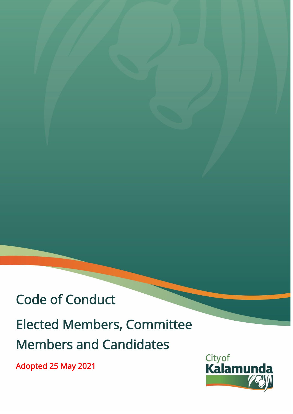# Code of Conduct

# Elected Members, Committee Members and Candidates

Adopted 25 May 2021

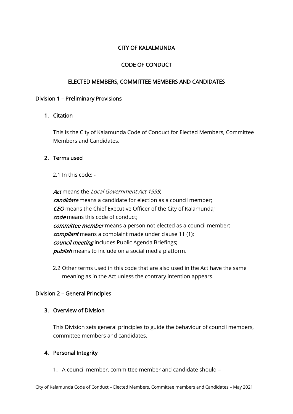# CITY OF KALALMUNDA

# CODE OF CONDUCT

#### ELECTED MEMBERS, COMMITTEE MEMBERS AND CANDIDATES

#### Division 1 – Preliminary Provisions

#### 1. Citation

This is the City of Kalamunda Code of Conduct for Elected Members, Committee Members and Candidates.

#### 2. Terms used

2.1 In this code: -

Act means the *Local Government Act* 1995: candidate means a candidate for election as a council member: CEO means the Chief Executive Officer of the City of Kalamunda; code means this code of conduct; committee member means a person not elected as a council member; compliant means a complaint made under clause 11 (1); council meeting includes Public Agenda Briefings; **publish** means to include on a social media platform.

2.2 Other terms used in this code that are also used in the Act have the same meaning as in the Act unless the contrary intention appears.

# Division 2 – General Principles

# 3. Overview of Division

This Division sets general principles to guide the behaviour of council members, committee members and candidates.

# 4. Personal Integrity

1. A council member, committee member and candidate should –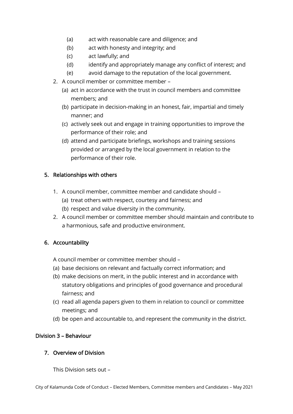- (a) act with reasonable care and diligence; and
- (b) act with honesty and integrity; and
- (c) act lawfully; and
- (d) identify and appropriately manage any conflict of interest; and
- (e) avoid damage to the reputation of the local government.
- 2. A council member or committee member
	- (a) act in accordance with the trust in council members and committee members; and
	- (b) participate in decision-making in an honest, fair, impartial and timely manner; and
	- (c) actively seek out and engage in training opportunities to improve the performance of their role; and
	- (d) attend and participate briefings, workshops and training sessions provided or arranged by the local government in relation to the performance of their role.

#### 5. Relationships with others

- 1. A council member, committee member and candidate should
	- (a) treat others with respect, courtesy and fairness; and
	- (b) respect and value diversity in the community.
- 2. A council member or committee member should maintain and contribute to a harmonious, safe and productive environment.

#### 6. Accountability

A council member or committee member should –

- (a) base decisions on relevant and factually correct information; and
- (b) make decisions on merit, in the public interest and in accordance with statutory obligations and principles of good governance and procedural fairness; and
- (c) read all agenda papers given to them in relation to council or committee meetings; and
- (d) be open and accountable to, and represent the community in the district.

# Division 3 – Behaviour

#### 7. Overview of Division

This Division sets out –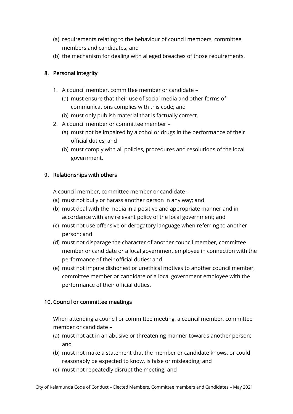- (a) requirements relating to the behaviour of council members, committee members and candidates; and
- (b) the mechanism for dealing with alleged breaches of those requirements.

#### 8. Personal integrity

- 1. A council member, committee member or candidate
	- (a) must ensure that their use of social media and other forms of communications complies with this code; and
	- (b) must only publish material that is factually correct.
- 2. A council member or committee member
	- (a) must not be impaired by alcohol or drugs in the performance of their official duties; and
	- (b) must comply with all policies, procedures and resolutions of the local government.

#### 9. Relationships with others

A council member, committee member or candidate –

- (a) must not bully or harass another person in any way; and
- (b) must deal with the media in a positive and appropriate manner and in accordance with any relevant policy of the local government; and
- (c) must not use offensive or derogatory language when referring to another person; and
- (d) must not disparage the character of another council member, committee member or candidate or a local government employee in connection with the performance of their official duties; and
- (e) must not impute dishonest or unethical motives to another council member, committee member or candidate or a local government employee with the performance of their official duties.

# 10. Council or committee meetings

When attending a council or committee meeting, a council member, committee member or candidate –

- (a) must not act in an abusive or threatening manner towards another person; and
- (b) must not make a statement that the member or candidate knows, or could reasonably be expected to know, is false or misleading; and
- (c) must not repeatedly disrupt the meeting; and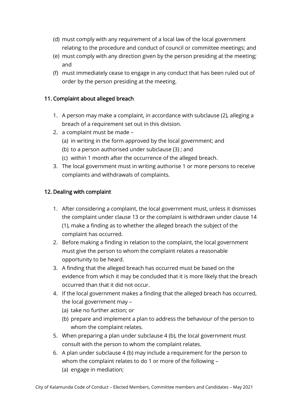- (d) must comply with any requirement of a local law of the local government relating to the procedure and conduct of council or committee meetings; and
- (e) must comply with any direction given by the person presiding at the meeting; and
- (f) must immediately cease to engage in any conduct that has been ruled out of order by the person presiding at the meeting.

# 11. Complaint about alleged breach

- 1. A person may make a complaint, in accordance with subclause (2), alleging a breach of a requirement set out in this division.
- 2. a complaint must be made
	- (a) in writing in the form approved by the local government; and
	- (b) to a person authorised under subclause (3) ; and
	- (c) within 1 month after the occurrence of the alleged breach.
- 3. The local government must in writing authorise 1 or more persons to receive complaints and withdrawals of complaints.

# 12. Dealing with complaint

- 1. After considering a complaint, the local government must, unless it dismisses the complaint under clause 13 or the complaint is withdrawn under clause 14 (1), make a finding as to whether the alleged breach the subject of the complaint has occurred.
- 2. Before making a finding in relation to the complaint, the local government must give the person to whom the complaint relates a reasonable opportunity to be heard.
- 3. A finding that the alleged breach has occurred must be based on the evidence from which it may be concluded that it is more likely that the breach occurred than that it did not occur.
- 4. If the local government makes a finding that the alleged breach has occurred, the local government may –
	- (a) take no further action; or
	- (b) prepare and implement a plan to address the behaviour of the person to whom the complaint relates.
- 5. When preparing a plan under subclause 4 (b), the local government must consult with the person to whom the complaint relates.
- 6. A plan under subclause 4 (b) may include a requirement for the person to whom the complaint relates to do 1 or more of the following – (a) engage in mediation;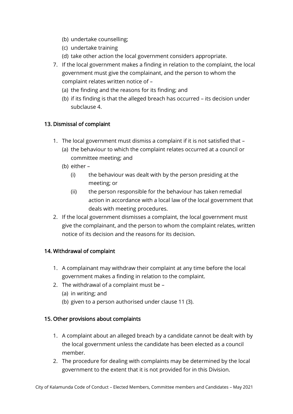- (b) undertake counselling;
- (c) undertake training
- (d) take other action the local government considers appropriate.
- 7. If the local government makes a finding in relation to the complaint, the local government must give the complainant, and the person to whom the complaint relates written notice of –
	- (a) the finding and the reasons for its finding; and
	- (b) if its finding is that the alleged breach has occurred its decision under subclause 4.

# 13. Dismissal of complaint

- 1. The local government must dismiss a complaint if it is not satisfied that
	- (a) the behaviour to which the complaint relates occurred at a council or committee meeting; and
	- (b) either
		- (i) the behaviour was dealt with by the person presiding at the meeting; or
		- (ii) the person responsible for the behaviour has taken remedial action in accordance with a local law of the local government that deals with meeting procedures.
- 2. If the local government dismisses a complaint, the local government must give the complainant, and the person to whom the complaint relates, written notice of its decision and the reasons for its decision.

# 14. Withdrawal of complaint

- 1. A complainant may withdraw their complaint at any time before the local government makes a finding in relation to the complaint.
- 2. The withdrawal of a complaint must be
	- (a) in writing; and
	- (b) given to a person authorised under clause 11 (3).

# 15. Other provisions about complaints

- 1. A complaint about an alleged breach by a candidate cannot be dealt with by the local government unless the candidate has been elected as a council member.
- 2. The procedure for dealing with complaints may be determined by the local government to the extent that it is not provided for in this Division.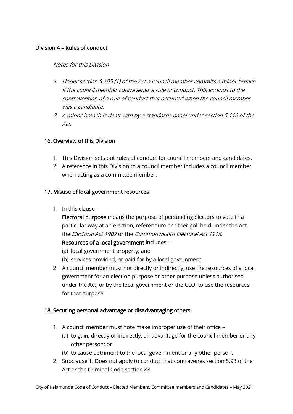# Division 4 – Rules of conduct

#### Notes for this Division

- 1. Under section 5.105 (1) of the Act a council member commits a minor breach if the council member contravenes a rule of conduct. This extends to the contravention of a rule of conduct that occurred when the council member was a candidate.
- 2. A minor breach is dealt with by a standards panel under section 5.110 of the Act.

#### 16. Overview of this Division

- 1. This Division sets out rules of conduct for council members and candidates.
- 2. A reference in this Division to a council member includes a council member when acting as a committee member.

# 17. Misuse of local government resources

1. In this clause –

Electoral purpose means the purpose of persuading electors to vote in a particular way at an election, referendum or other poll held under the Act, the Electoral Act 1907 or the Commonwealth Electoral Act 1918.

# Resources of a local government includes –

- (a) local government property; and
- (b) services provided, or paid for by a local government.
- 2. A council member must not directly or indirectly, use the resources of a local government for an election purpose or other purpose unless authorised under the Act, or by the local government or the CEO, to use the resources for that purpose.

# 18. Securing personal advantage or disadvantaging others

- 1. A council member must note make improper use of their office
	- (a) to gain, directly or indirectly, an advantage for the council member or any other person; or
	- (b) to cause detriment to the local government or any other person.
- 2. Subclause 1. Does not apply to conduct that contravenes section 5.93 of the Act or the Criminal Code section 83.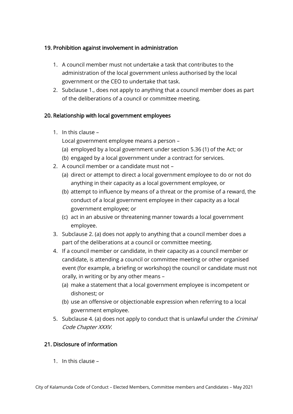# 19. Prohibition against involvement in administration

- 1. A council member must not undertake a task that contributes to the administration of the local government unless authorised by the local government or the CEO to undertake that task.
- 2. Subclause 1., does not apply to anything that a council member does as part of the deliberations of a council or committee meeting.

# 20. Relationship with local government employees

1. In this clause –

Local government employee means a person –

- (a) employed by a local government under section 5.36 (1) of the Act; or
- (b) engaged by a local government under a contract for services.
- 2. A council member or a candidate must not
	- (a) direct or attempt to direct a local government employee to do or not do anything in their capacity as a local government employee, or
	- (b) attempt to influence by means of a threat or the promise of a reward, the conduct of a local government employee in their capacity as a local government employee; or
	- (c) act in an abusive or threatening manner towards a local government employee.
- 3. Subclause 2. (a) does not apply to anything that a council member does a part of the deliberations at a council or committee meeting.
- 4. If a council member or candidate, in their capacity as a council member or candidate, is attending a council or committee meeting or other organised event (for example, a briefing or workshop) the council or candidate must not orally, in writing or by any other means –
	- (a) make a statement that a local government employee is incompetent or dishonest; or
	- (b) use an offensive or objectionable expression when referring to a local government employee.
- 5. Subclause 4. (a) does not apply to conduct that is unlawful under the *Criminal* Code Chapter XXXV.

# 21. Disclosure of information

1. In this clause –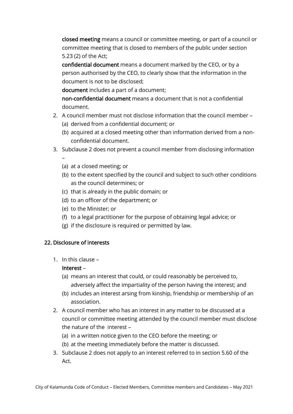closed meeting means a council or committee meeting, or part of a council or committee meeting that is closed to members of the public under section 5.23 (2) of the Act;

confidential document means a document marked by the CEO, or by a person authorised by the CEO, to clearly show that the information in the document is not to be disclosed;

document includes a part of a document;

non-confidential document means a document that is not a confidential document.

- 2. A council member must not disclose information that the council member
	- (a) derived from a confidential document; or
	- (b) acquired at a closed meeting other than information derived from a nonconfidential document.
- 3. Subclause 2 does not prevent a council member from disclosing information –
	- (a) at a closed meeting; or
	- (b) to the extent specified by the council and subject to such other conditions as the council determines; or
	- (c) that is already in the public domain; or
	- (d) to an officer of the department; or
	- (e) to the Minister; or
	- (f) to a legal practitioner for the purpose of obtaining legal advice; or
	- (g) if the disclosure is required or permitted by law.

# 22. Disclosure of interests

1. In this clause –

# Interest –

- (a) means an interest that could, or could reasonably be perceived to, adversely affect the impartiality of the person having the interest; and
- (b) includes an interest arsing from kinship, friendship or membership of an association.
- 2. A council member who has an interest in any matter to be discussed at a council or committee meeting attended by the council member must disclose the nature of the interest –
	- (a) in a written notice given to the CEO before the meeting; or
	- (b) at the meeting immediately before the matter is discussed.
- 3. Subclause 2 does not apply to an interest referred to in section 5.60 of the Act.